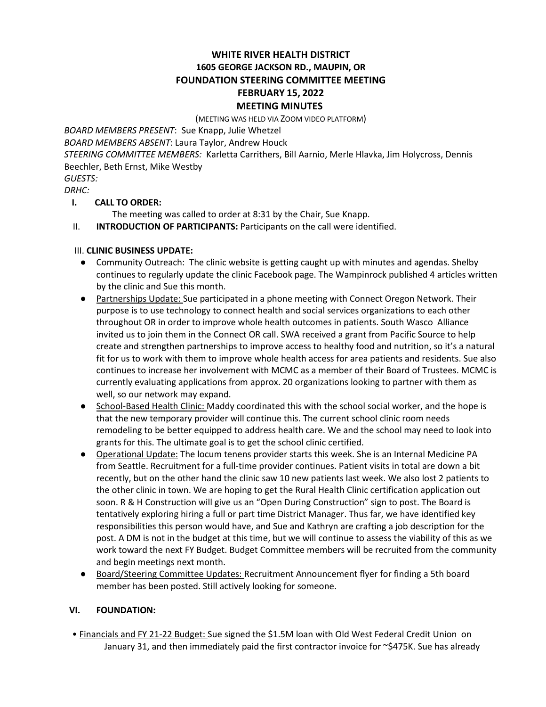# **WHITE RIVER HEALTH DISTRICT 1605 GEORGE JACKSON RD., MAUPIN, OR FOUNDATION STEERING COMMITTEE MEETING FEBRUARY 15, 2022 MEETING MINUTES**

(MEETING WAS HELD VIA ZOOM VIDEO PLATFORM)

*BOARD MEMBERS PRESENT*: Sue Knapp, Julie Whetzel

*BOARD MEMBERS ABSENT*: Laura Taylor, Andrew Houck

*STEERING COMMITTEE MEMBERS:* Karletta Carrithers, Bill Aarnio, Merle Hlavka, Jim Holycross, Dennis Beechler, Beth Ernst, Mike Westby

*GUESTS:*

# *DRHC:*

## **I. CALL TO ORDER:**

The meeting was called to order at 8:31 by the Chair, Sue Knapp.

II. **INTRODUCTION OF PARTICIPANTS:** Participants on the call were identified.

### III. **CLINIC BUSINESS UPDATE:**

- Community Outreach: The clinic website is getting caught up with minutes and agendas. Shelby continues to regularly update the clinic Facebook page. The Wampinrock published 4 articles written by the clinic and Sue this month.
- Partnerships Update: Sue participated in a phone meeting with Connect Oregon Network. Their purpose is to use technology to connect health and social services organizations to each other throughout OR in order to improve whole health outcomes in patients. South Wasco Alliance invited us to join them in the Connect OR call. SWA received a grant from Pacific Source to help create and strengthen partnerships to improve access to healthy food and nutrition, so it's a natural fit for us to work with them to improve whole health access for area patients and residents. Sue also continues to increase her involvement with MCMC as a member of their Board of Trustees. MCMC is currently evaluating applications from approx. 20 organizations looking to partner with them as well, so our network may expand.
- School-Based Health Clinic: Maddy coordinated this with the school social worker, and the hope is that the new temporary provider will continue this. The current school clinic room needs remodeling to be better equipped to address health care. We and the school may need to look into grants for this. The ultimate goal is to get the school clinic certified.
- Operational Update: The locum tenens provider starts this week. She is an Internal Medicine PA from Seattle. Recruitment for a full-time provider continues. Patient visits in total are down a bit recently, but on the other hand the clinic saw 10 new patients last week. We also lost 2 patients to the other clinic in town. We are hoping to get the Rural Health Clinic certification application out soon. R & H Construction will give us an "Open During Construction" sign to post. The Board is tentatively exploring hiring a full or part time District Manager. Thus far, we have identified key responsibilities this person would have, and Sue and Kathryn are crafting a job description for the post. A DM is not in the budget at this time, but we will continue to assess the viability of this as we work toward the next FY Budget. Budget Committee members will be recruited from the community and begin meetings next month.
- Board/Steering Committee Updates: Recruitment Announcement flyer for finding a 5th board member has been posted. Still actively looking for someone.

## **VI. FOUNDATION:**

• Financials and FY 21-22 Budget: Sue signed the \$1.5M loan with Old West Federal Credit Union on January 31, and then immediately paid the first contractor invoice for ~\$475K. Sue has already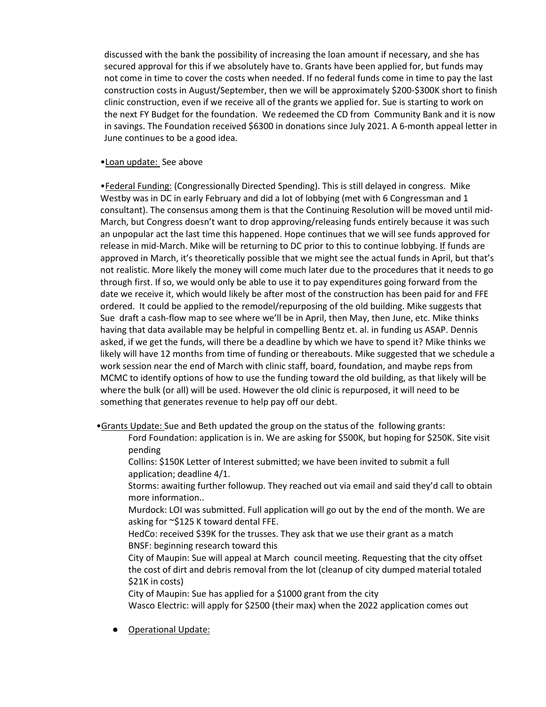discussed with the bank the possibility of increasing the loan amount if necessary, and she has secured approval for this if we absolutely have to. Grants have been applied for, but funds may not come in time to cover the costs when needed. If no federal funds come in time to pay the last construction costs in August/September, then we will be approximately \$200-\$300K short to finish clinic construction, even if we receive all of the grants we applied for. Sue is starting to work on the next FY Budget for the foundation. We redeemed the CD from Community Bank and it is now in savings. The Foundation received \$6300 in donations since July 2021. A 6-month appeal letter in June continues to be a good idea.

### •Loan update: See above

•Federal Funding: (Congressionally Directed Spending). This is still delayed in congress. Mike Westby was in DC in early February and did a lot of lobbying (met with 6 Congressman and 1 consultant). The consensus among them is that the Continuing Resolution will be moved until mid-March, but Congress doesn't want to drop approving/releasing funds entirely because it was such an unpopular act the last time this happened. Hope continues that we will see funds approved for release in mid-March. Mike will be returning to DC prior to this to continue lobbying. If funds are approved in March, it's theoretically possible that we might see the actual funds in April, but that's not realistic. More likely the money will come much later due to the procedures that it needs to go through first. If so, we would only be able to use it to pay expenditures going forward from the date we receive it, which would likely be after most of the construction has been paid for and FFE ordered. It could be applied to the remodel/repurposing of the old building. Mike suggests that Sue draft a cash-flow map to see where we'll be in April, then May, then June, etc. Mike thinks having that data available may be helpful in compelling Bentz et. al. in funding us ASAP. Dennis asked, if we get the funds, will there be a deadline by which we have to spend it? Mike thinks we likely will have 12 months from time of funding or thereabouts. Mike suggested that we schedule a work session near the end of March with clinic staff, board, foundation, and maybe reps from MCMC to identify options of how to use the funding toward the old building, as that likely will be where the bulk (or all) will be used. However the old clinic is repurposed, it will need to be something that generates revenue to help pay off our debt.

- •Grants Update: Sue and Beth updated the group on the status of the following grants:
	- Ford Foundation: application is in. We are asking for \$500K, but hoping for \$250K. Site visit pending
	- Collins: \$150K Letter of Interest submitted; we have been invited to submit a full application; deadline 4/1.
	- Storms: awaiting further followup. They reached out via email and said they'd call to obtain more information..
	- Murdock: LOI was submitted. Full application will go out by the end of the month. We are asking for ~\$125 K toward dental FFE.
	- HedCo: received \$39K for the trusses. They ask that we use their grant as a match BNSF: beginning research toward this
	- City of Maupin: Sue will appeal at March council meeting. Requesting that the city offset the cost of dirt and debris removal from the lot (cleanup of city dumped material totaled \$21K in costs)
	- City of Maupin: Sue has applied for a \$1000 grant from the city
	- Wasco Electric: will apply for \$2500 (their max) when the 2022 application comes out
	- Operational Update: